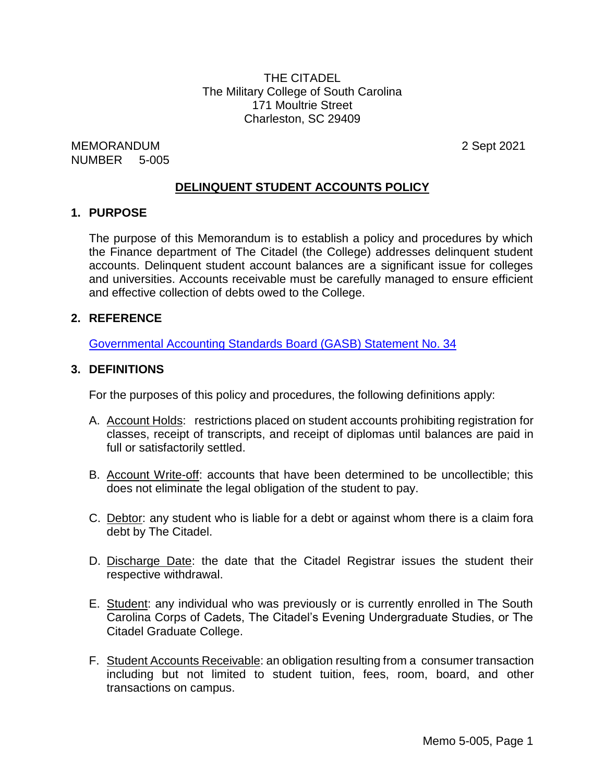THE CITADEL The Military College of South Carolina 171 Moultrie Street Charleston, SC 29409

MEMORANDUM 2 Sept 2021 NUMBER 5-005

## **DELINQUENT STUDENT ACCOUNTS POLICY**

#### **1. PURPOSE**

The purpose of this Memorandum is to establish a policy and procedures by which the Finance department of The Citadel (the College) addresses delinquent student accounts. Delinquent student account balances are a significant issue for colleges and universities. Accounts receivable must be carefully managed to ensure efficient and effective collection of debts owed to the College.

#### **2. REFERENCE**

[Governmental](http://www.gasb.org/st/summary/gstsm34.html) Accounting Standards Board (GASB) Statement No. 34

#### **3. DEFINITIONS**

For the purposes of this policy and procedures, the following definitions apply:

- A. Account Holds: restrictions placed on student accounts prohibiting registration for classes, receipt of transcripts, and receipt of diplomas until balances are paid in full or satisfactorily settled.
- B. Account Write-off: accounts that have been determined to be uncollectible; this does not eliminate the legal obligation of the student to pay.
- C. Debtor: any student who is liable for a debt or against whom there is a claim fora debt by The Citadel.
- D. Discharge Date: the date that the Citadel Registrar issues the student their respective withdrawal.
- E. Student: any individual who was previously or is currently enrolled in The South Carolina Corps of Cadets, The Citadel's Evening Undergraduate Studies, or The Citadel Graduate College.
- F. Student Accounts Receivable: an obligation resulting from a consumer transaction including but not limited to student tuition, fees, room, board, and other transactions on campus.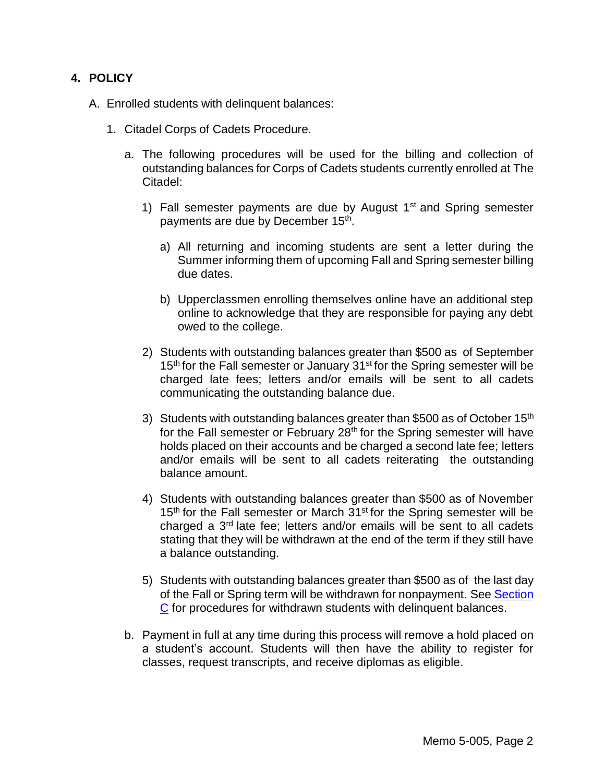## **4. POLICY**

- A. Enrolled students with delinquent balances:
	- 1. Citadel Corps of Cadets Procedure.
		- a. The following procedures will be used for the billing and collection of outstanding balances for Corps of Cadets students currently enrolled at The Citadel:
			- 1) Fall semester payments are due by August  $1<sup>st</sup>$  and Spring semester payments are due by December 15<sup>th</sup>.
				- a) All returning and incoming students are sent a letter during the Summer informing them of upcoming Fall and Spring semester billing due dates.
				- b) Upperclassmen enrolling themselves online have an additional step online to acknowledge that they are responsible for paying any debt owed to the college.
			- 2) Students with outstanding balances greater than \$500 as of September  $15<sup>th</sup>$  for the Fall semester or January 31<sup>st</sup> for the Spring semester will be charged late fees; letters and/or emails will be sent to all cadets communicating the outstanding balance due.
			- 3) Students with outstanding balances greater than \$500 as of October 15<sup>th</sup> for the Fall semester or February 28<sup>th</sup> for the Spring semester will have holds placed on their accounts and be charged a second late fee; letters and/or emails will be sent to all cadets reiterating the outstanding balance amount.
			- 4) Students with outstanding balances greater than \$500 as of November  $15<sup>th</sup>$  for the Fall semester or March  $31<sup>st</sup>$  for the Spring semester will be charged a 3rd late fee; letters and/or emails will be sent to all cadets stating that they will be withdrawn at the end of the term if they still have a balance outstanding.
			- 5) Students with outstanding balances greater than \$500 as of the last day of the Fall or Spring term will be withdrawn for nonpayment. See [Section](#page-4-0) [C](#page-4-0) for procedures for withdrawn students with delinquent balances.
		- b. Payment in full at any time during this process will remove a hold placed on a student's account. Students will then have the ability to register for classes, request transcripts, and receive diplomas as eligible.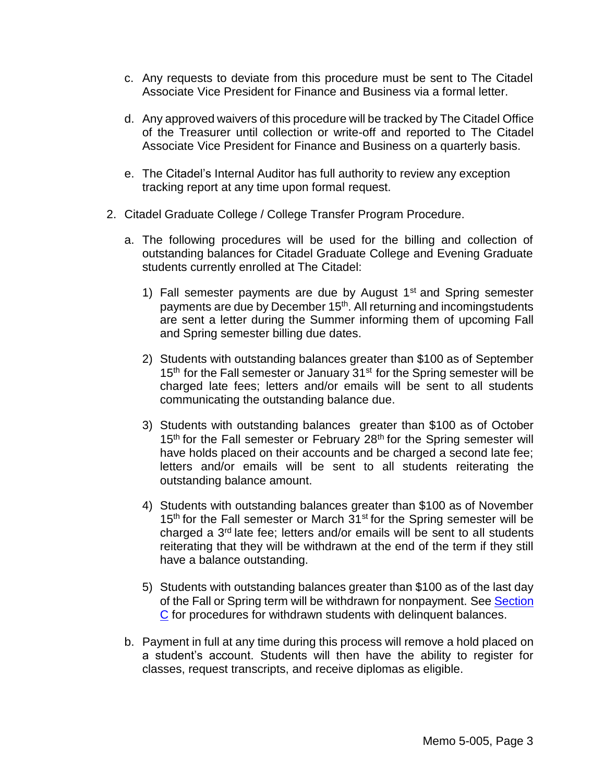- c. Any requests to deviate from this procedure must be sent to The Citadel Associate Vice President for Finance and Business via a formal letter.
- d. Any approved waivers of this procedure will be tracked by The Citadel Office of the Treasurer until collection or write-off and reported to The Citadel Associate Vice President for Finance and Business on a quarterly basis.
- e. The Citadel's Internal Auditor has full authority to review any exception tracking report at any time upon formal request.
- 2. Citadel Graduate College / College Transfer Program Procedure.
	- a. The following procedures will be used for the billing and collection of outstanding balances for Citadel Graduate College and Evening Graduate students currently enrolled at The Citadel:
		- 1) Fall semester payments are due by August  $1<sup>st</sup>$  and Spring semester payments are due by December 15<sup>th</sup>. All returning and incomingstudents are sent a letter during the Summer informing them of upcoming Fall and Spring semester billing due dates.
		- 2) Students with outstanding balances greater than \$100 as of September 15<sup>th</sup> for the Fall semester or January 31<sup>st</sup> for the Spring semester will be charged late fees; letters and/or emails will be sent to all students communicating the outstanding balance due.
		- 3) Students with outstanding balances greater than \$100 as of October 15<sup>th</sup> for the Fall semester or February 28<sup>th</sup> for the Spring semester will have holds placed on their accounts and be charged a second late fee; letters and/or emails will be sent to all students reiterating the outstanding balance amount.
		- 4) Students with outstanding balances greater than \$100 as of November 15<sup>th</sup> for the Fall semester or March 31<sup>st</sup> for the Spring semester will be charged a 3rd late fee; letters and/or emails will be sent to all students reiterating that they will be withdrawn at the end of the term if they still have a balance outstanding.
		- 5) Students with outstanding balances greater than \$100 as of the last day of the Fall or Spring term will be withdrawn for nonpayment. See [Section](#page-4-0) [C](#page-4-0) for procedures for withdrawn students with delinquent balances.
	- b. Payment in full at any time during this process will remove a hold placed on a student's account. Students will then have the ability to register for classes, request transcripts, and receive diplomas as eligible.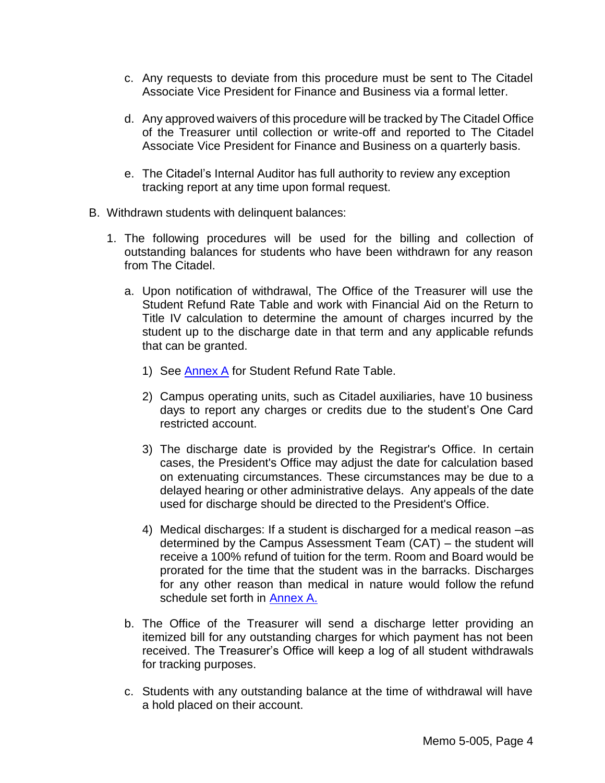- c. Any requests to deviate from this procedure must be sent to The Citadel Associate Vice President for Finance and Business via a formal letter.
- d. Any approved waivers of this procedure will be tracked by The Citadel Office of the Treasurer until collection or write-off and reported to The Citadel Associate Vice President for Finance and Business on a quarterly basis.
- e. The Citadel's Internal Auditor has full authority to review any exception tracking report at any time upon formal request.
- B. Withdrawn students with delinquent balances:
	- 1. The following procedures will be used for the billing and collection of outstanding balances for students who have been withdrawn for any reason from The Citadel.
		- a. Upon notification of withdrawal, The Office of the Treasurer will use the Student Refund Rate Table and work with Financial Aid on the Return to Title IV calculation to determine the amount of charges incurred by the student up to the discharge date in that term and any applicable refunds that can be granted.
			- 1) See [Annex](#page-7-0) A for Student Refund Rate Table.
			- 2) Campus operating units, such as Citadel auxiliaries, have 10 business days to report any charges or credits due to the student's One Card restricted account.
			- 3) The discharge date is provided by the Registrar's Office. In certain cases, the President's Office may adjust the date for calculation based on extenuating circumstances. These circumstances may be due to a delayed hearing or other administrative delays. Any appeals of the date used for discharge should be directed to the President's Office.
			- 4) Medical discharges: If a student is discharged for a medical reason –as determined by the Campus Assessment Team (CAT) – the student will receive a 100% refund of tuition for the term. Room and Board would be prorated for the time that the student was in the barracks. Discharges for any other reason than medical in nature would follow the refund schedule set forth in **[Annex](#page-7-0) A.**
		- b. The Office of the Treasurer will send a discharge letter providing an itemized bill for any outstanding charges for which payment has not been received. The Treasurer's Office will keep a log of all student withdrawals for tracking purposes.
		- c. Students with any outstanding balance at the time of withdrawal will have a hold placed on their account.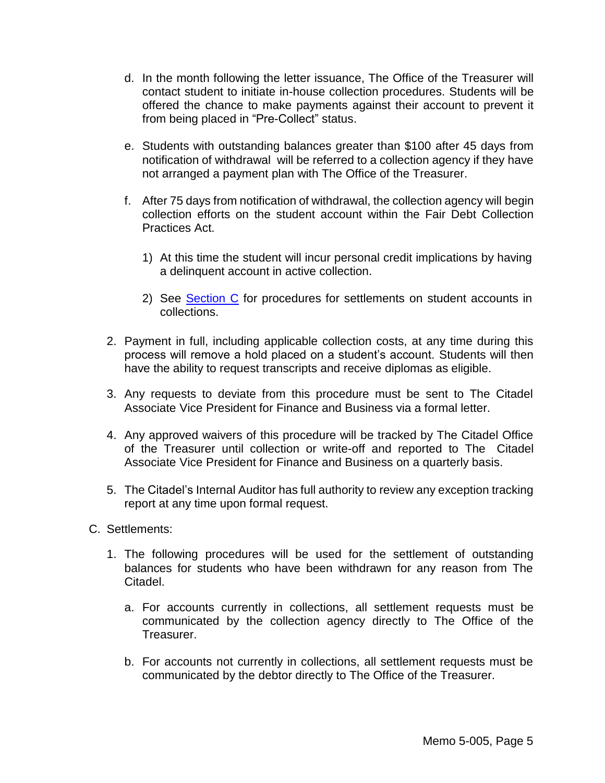- d. In the month following the letter issuance, The Office of the Treasurer will contact student to initiate in-house collection procedures. Students will be offered the chance to make payments against their account to prevent it from being placed in "Pre-Collect" status.
- e. Students with outstanding balances greater than \$100 after 45 days from notification of withdrawal will be referred to a collection agency if they have not arranged a payment plan with The Office of the Treasurer.
- f. After 75 days from notification of withdrawal, the collection agency will begin collection efforts on the student account within the Fair Debt Collection Practices Act.
	- 1) At this time the student will incur personal credit implications by having a delinquent account in active collection.
	- 2) See [Section](#page-4-0) C for procedures for settlements on student accounts in collections.
- 2. Payment in full, including applicable collection costs, at any time during this process will remove a hold placed on a student's account. Students will then have the ability to request transcripts and receive diplomas as eligible.
- 3. Any requests to deviate from this procedure must be sent to The Citadel Associate Vice President for Finance and Business via a formal letter.
- 4. Any approved waivers of this procedure will be tracked by The Citadel Office of the Treasurer until collection or write-off and reported to The Citadel Associate Vice President for Finance and Business on a quarterly basis.
- 5. The Citadel's Internal Auditor has full authority to review any exception tracking report at any time upon formal request.
- <span id="page-4-0"></span>C. Settlements:
	- 1. The following procedures will be used for the settlement of outstanding balances for students who have been withdrawn for any reason from The Citadel.
		- a. For accounts currently in collections, all settlement requests must be communicated by the collection agency directly to The Office of the Treasurer.
		- b. For accounts not currently in collections, all settlement requests must be communicated by the debtor directly to The Office of the Treasurer.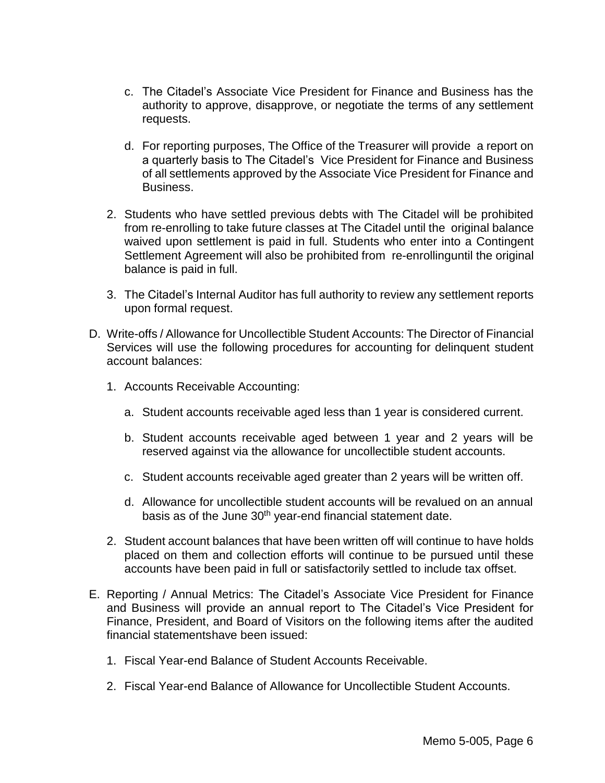- c. The Citadel's Associate Vice President for Finance and Business has the authority to approve, disapprove, or negotiate the terms of any settlement requests.
- d. For reporting purposes, The Office of the Treasurer will provide a report on a quarterly basis to The Citadel's Vice President for Finance and Business of all settlements approved by the Associate Vice President for Finance and Business.
- 2. Students who have settled previous debts with The Citadel will be prohibited from re-enrolling to take future classes at The Citadel until the original balance waived upon settlement is paid in full. Students who enter into a Contingent Settlement Agreement will also be prohibited from re-enrollinguntil the original balance is paid in full.
- 3. The Citadel's Internal Auditor has full authority to review any settlement reports upon formal request.
- D. Write-offs / Allowance for Uncollectible Student Accounts: The Director of Financial Services will use the following procedures for accounting for delinquent student account balances:
	- 1. Accounts Receivable Accounting:
		- a. Student accounts receivable aged less than 1 year is considered current.
		- b. Student accounts receivable aged between 1 year and 2 years will be reserved against via the allowance for uncollectible student accounts.
		- c. Student accounts receivable aged greater than 2 years will be written off.
		- d. Allowance for uncollectible student accounts will be revalued on an annual basis as of the June 30<sup>th</sup> year-end financial statement date.
	- 2. Student account balances that have been written off will continue to have holds placed on them and collection efforts will continue to be pursued until these accounts have been paid in full or satisfactorily settled to include tax offset.
- E. Reporting / Annual Metrics: The Citadel's Associate Vice President for Finance and Business will provide an annual report to The Citadel's Vice President for Finance, President, and Board of Visitors on the following items after the audited financial statementshave been issued:
	- 1. Fiscal Year-end Balance of Student Accounts Receivable.
	- 2. Fiscal Year-end Balance of Allowance for Uncollectible Student Accounts.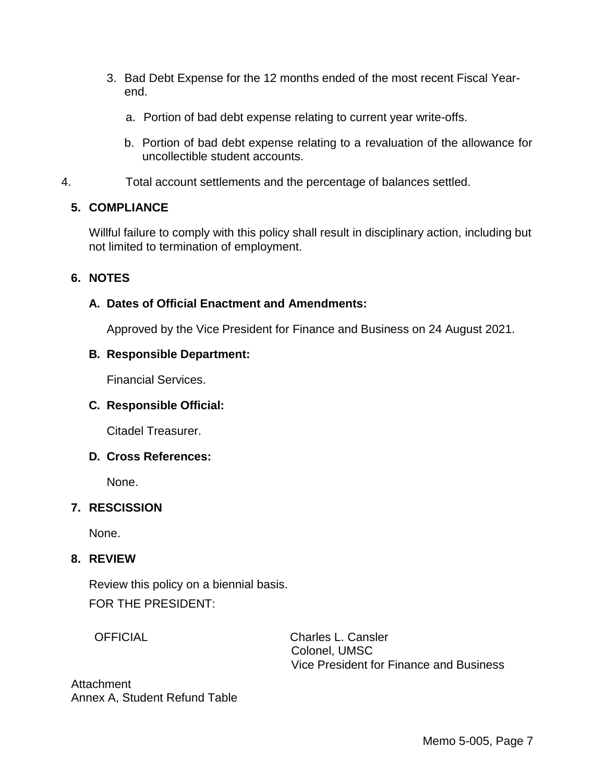- 3. Bad Debt Expense for the 12 months ended of the most recent Fiscal Yearend.
	- a. Portion of bad debt expense relating to current year write-offs.
	- b. Portion of bad debt expense relating to a revaluation of the allowance for uncollectible student accounts.
- 4. Total account settlements and the percentage of balances settled.

## **5. COMPLIANCE**

Willful failure to comply with this policy shall result in disciplinary action, including but not limited to termination of employment.

## **6. NOTES**

## **A. Dates of Official Enactment and Amendments:**

Approved by the Vice President for Finance and Business on 24 August 2021.

## **B. Responsible Department:**

Financial Services.

#### **C. Responsible Official:**

Citadel Treasurer.

#### **D. Cross References:**

None.

# **7. RESCISSION**

None.

#### **8. REVIEW**

Review this policy on a biennial basis. FOR THE PRESIDENT:

OFFICIAL Charles L. Cansler Colonel, UMSC Vice President for Finance and Business

Attachment Annex A, Student Refund Table